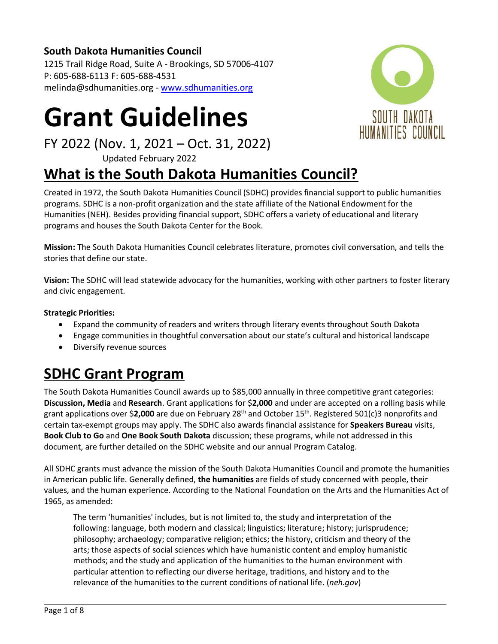### **South Dakota Humanities Council**

1215 Trail Ridge Road, Suite A - Brookings, SD 57006-4107 P: 605-688-6113 F: 605-688-4531 melinda@sdhumanities.org - [www.sdhumanities.org](http://www.sdhumanities.org/)

# **Grant Guidelines**

FY 2022 (Nov. 1, 2021 – Oct. 31, 2022)

Updated February 2022

# **What is the South Dakota Humanities Council?**

Created in 1972, the South Dakota Humanities Council (SDHC) provides financial support to public humanities programs. SDHC is a non-profit organization and the state affiliate of the National Endowment for the Humanities (NEH). Besides providing financial support, SDHC offers a variety of educational and literary programs and houses the South Dakota Center for the Book.

**Mission:** The South Dakota Humanities Council celebrates literature, promotes civil conversation, and tells the stories that define our state.

**Vision:** The SDHC will lead statewide advocacy for the humanities, working with other partners to foster literary and civic engagement.

#### **Strategic Priorities:**

- Expand the community of readers and writers through literary events throughout South Dakota
- Engage communities in thoughtful conversation about our state's cultural and historical landscape
- Diversify revenue sources

# **SDHC Grant Program**

The South Dakota Humanities Council awards up to \$85,000 annually in three competitive grant categories: **Discussion, Media** and **Research**. Grant applications for \$**2,000** and under are accepted on a rolling basis while grant applications over \$**2,000** are due on February 28th and October 15th . Registered 501(c)3 nonprofits and certain tax-exempt groups may apply. The SDHC also awards financial assistance for **Speakers Bureau** visits, **Book Club to Go** and **One Book South Dakota** discussion; these programs, while not addressed in this document, are further detailed on the SDHC website and our annual Program Catalog.

All SDHC grants must advance the mission of the South Dakota Humanities Council and promote the humanities in American public life. Generally defined, **the humanities** are fields of study concerned with people, their values, and the human experience. According to the National Foundation on the Arts and the Humanities Act of 1965, as amended:

The term 'humanities' includes, but is not limited to, the study and interpretation of the following: language, both modern and classical; linguistics; literature; history; jurisprudence; philosophy; archaeology; comparative religion; ethics; the history, criticism and theory of the arts; those aspects of social sciences which have humanistic content and employ humanistic methods; and the study and application of the humanities to the human environment with particular attention to reflecting our diverse heritage, traditions, and history and to the relevance of the humanities to the current conditions of national life. (*neh.gov*)

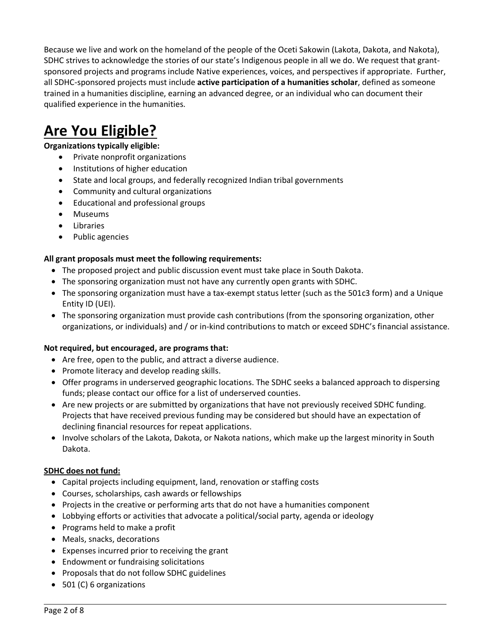Because we live and work on the homeland of the people of the Oceti Sakowin (Lakota, Dakota, and Nakota), SDHC strives to acknowledge the stories of our state's Indigenous people in all we do. We request that grantsponsored projects and programs include Native experiences, voices, and perspectives if appropriate. Further, all SDHC-sponsored projects must include **active participation of a humanities scholar**, defined as someone trained in a humanities discipline, earning an advanced degree, or an individual who can document their qualified experience in the humanities.

## **Are You Eligible?**

#### **Organizations typically eligible:**

- Private nonprofit organizations
- Institutions of higher education
- State and local groups, and federally recognized Indian tribal governments
- Community and cultural organizations
- Educational and professional groups
- Museums
- Libraries
- Public agencies

#### **All grant proposals must meet the following requirements:**

- The proposed project and public discussion event must take place in South Dakota.
- The sponsoring organization must not have any currently open grants with SDHC.
- The sponsoring organization must have a tax-exempt status letter (such as the 501c3 form) and a Unique Entity ID (UEI).
- The sponsoring organization must provide cash contributions (from the sponsoring organization, other organizations, or individuals) and / or in-kind contributions to match or exceed SDHC's financial assistance.

#### **Not required, but encouraged, are programs that:**

- Are free, open to the public, and attract a diverse audience.
- Promote literacy and develop reading skills.
- Offer programs in underserved geographic locations. The SDHC seeks a balanced approach to dispersing funds; please contact our office for a list of underserved counties.
- Are new projects or are submitted by organizations that have not previously received SDHC funding. Projects that have received previous funding may be considered but should have an expectation of declining financial resources for repeat applications.
- Involve scholars of the Lakota, Dakota, or Nakota nations, which make up the largest minority in South Dakota.

#### **SDHC does not fund:**

- Capital projects including equipment, land, renovation or staffing costs
- Courses, scholarships, cash awards or fellowships
- Projects in the creative or performing arts that do not have a humanities component
- Lobbying efforts or activities that advocate a political/social party, agenda or ideology
- Programs held to make a profit
- Meals, snacks, decorations
- Expenses incurred prior to receiving the grant
- Endowment or fundraising solicitations
- Proposals that do not follow SDHC guidelines
- 501 (C) 6 organizations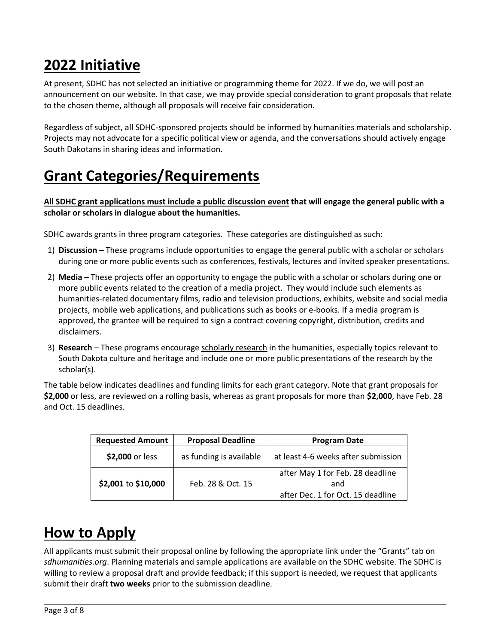# **2022 Initiative**

At present, SDHC has not selected an initiative or programming theme for 2022. If we do, we will post an announcement on our website. In that case, we may provide special consideration to grant proposals that relate to the chosen theme, although all proposals will receive fair consideration.

Regardless of subject, all SDHC-sponsored projects should be informed by humanities materials and scholarship. Projects may not advocate for a specific political view or agenda, and the conversations should actively engage South Dakotans in sharing ideas and information.

# **Grant Categories/Requirements**

**All SDHC grant applications must include a public discussion event that will engage the general public with a scholar or scholars in dialogue about the humanities.**

SDHC awards grants in three program categories. These categories are distinguished as such:

- 1) **Discussion –** These programs include opportunities to engage the general public with a scholar or scholars during one or more public events such as conferences, festivals, lectures and invited speaker presentations.
- 2) **Media –** These projects offer an opportunity to engage the public with a scholar or scholars during one or more public events related to the creation of a media project. They would include such elements as humanities-related documentary films, radio and television productions, exhibits, website and social media projects, mobile web applications, and publications such as books or e-books. If a media program is approved, the grantee will be required to sign a contract covering copyright, distribution, credits and disclaimers.
- 3) **Research** These programs encourage scholarly research in the humanities, especially topics relevant to South Dakota culture and heritage and include one or more public presentations of the research by the scholar(s).

The table below indicates deadlines and funding limits for each grant category. Note that grant proposals for **\$2,000** or less, are reviewed on a rolling basis, whereas as grant proposals for more than **\$2,000**, have Feb. 28 and Oct. 15 deadlines.

| <b>Requested Amount</b> | <b>Proposal Deadline</b> | <b>Program Date</b>                 |  |
|-------------------------|--------------------------|-------------------------------------|--|
| \$2,000 or less         | as funding is available  | at least 4-6 weeks after submission |  |
|                         |                          | after May 1 for Feb. 28 deadline    |  |
| \$2,001 to \$10,000     | Feb. 28 & Oct. 15        | and                                 |  |
|                         |                          | after Dec. 1 for Oct. 15 deadline   |  |

# **How to Apply**

All applicants must submit their proposal online by following the appropriate link under the "Grants" tab on *sdhumanities.org*. Planning materials and sample applications are available on the SDHC website. The SDHC is willing to review a proposal draft and provide feedback; if this support is needed, we request that applicants submit their draft **two weeks** prior to the submission deadline.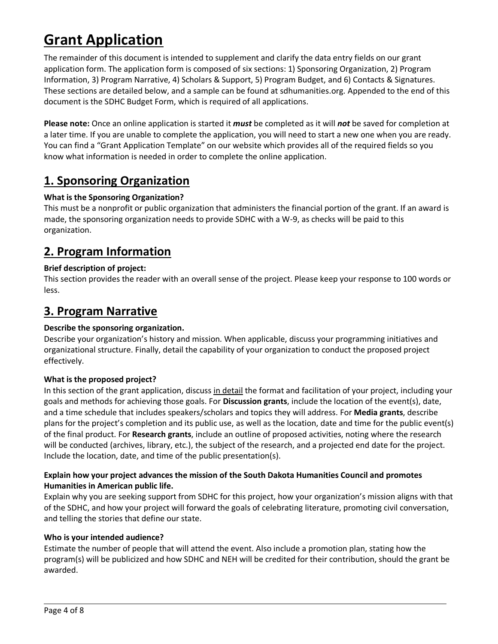# **Grant Application**

The remainder of this document is intended to supplement and clarify the data entry fields on our grant application form. The application form is composed of six sections: 1) Sponsoring Organization, 2) Program Information, 3) Program Narrative, 4) Scholars & Support, 5) Program Budget, and 6) Contacts & Signatures. These sections are detailed below, and a sample can be found at sdhumanities.org. Appended to the end of this document is the SDHC Budget Form, which is required of all applications.

**Please note:** Once an online application is started it *must* be completed as it will *not* be saved for completion at a later time. If you are unable to complete the application, you will need to start a new one when you are ready. You can find a "Grant Application Template" on our website which provides all of the required fields so you know what information is needed in order to complete the online application.

### **1. Sponsoring Organization**

#### **What is the Sponsoring Organization?**

This must be a nonprofit or public organization that administers the financial portion of the grant. If an award is made, the sponsoring organization needs to provide SDHC with a W-9, as checks will be paid to this organization.

### **2. Program Information**

#### **Brief description of project:**

This section provides the reader with an overall sense of the project. Please keep your response to 100 words or less.

### **3. Program Narrative**

#### **Describe the sponsoring organization.**

Describe your organization's history and mission. When applicable, discuss your programming initiatives and organizational structure. Finally, detail the capability of your organization to conduct the proposed project effectively.

#### **What is the proposed project?**

In this section of the grant application, discuss in detail the format and facilitation of your project, including your goals and methods for achieving those goals. For **Discussion grants**, include the location of the event(s), date, and a time schedule that includes speakers/scholars and topics they will address. For **Media grants**, describe plans for the project's completion and its public use, as well as the location, date and time for the public event(s) of the final product. For **Research grants**, include an outline of proposed activities, noting where the research will be conducted (archives, library, etc.), the subject of the research, and a projected end date for the project. Include the location, date, and time of the public presentation(s).

#### **Explain how your project advances the mission of the South Dakota Humanities Council and promotes Humanities in American public life.**

Explain why you are seeking support from SDHC for this project, how your organization's mission aligns with that of the SDHC, and how your project will forward the goals of celebrating literature, promoting civil conversation, and telling the stories that define our state.

#### **Who is your intended audience?**

Estimate the number of people that will attend the event. Also include a promotion plan, stating how the program(s) will be publicized and how SDHC and NEH will be credited for their contribution, should the grant be awarded.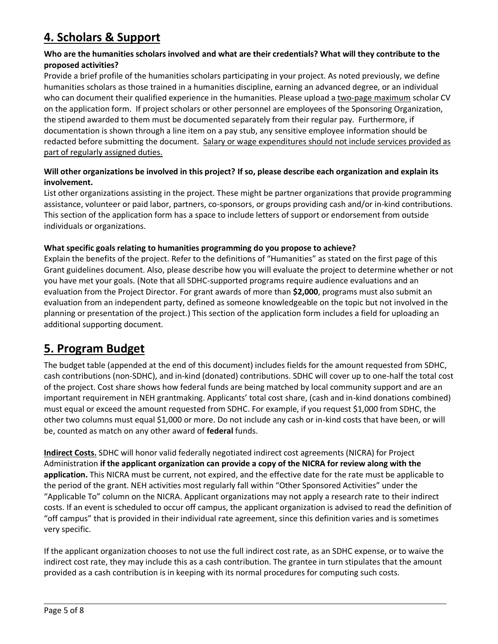### **4. Scholars & Support**

#### **Who are the humanities scholars involved and what are their credentials? What will they contribute to the proposed activities?**

Provide a brief profile of the humanities scholars participating in your project. As noted previously, we define humanities scholars as those trained in a humanities discipline, earning an advanced degree, or an individual who can document their qualified experience in the humanities. Please upload a two-page maximum scholar CV on the application form. If project scholars or other personnel are employees of the Sponsoring Organization, the stipend awarded to them must be documented separately from their regular pay. Furthermore, if documentation is shown through a line item on a pay stub, any sensitive employee information should be redacted before submitting the document. Salary or wage expenditures should not include services provided as part of regularly assigned duties.

#### **Will other organizations be involved in this project? If so, please describe each organization and explain its involvement.**

List other organizations assisting in the project. These might be partner organizations that provide programming assistance, volunteer or paid labor, partners, co-sponsors, or groups providing cash and/or in-kind contributions. This section of the application form has a space to include letters of support or endorsement from outside individuals or organizations.

#### **What specific goals relating to humanities programming do you propose to achieve?**

Explain the benefits of the project. Refer to the definitions of "Humanities" as stated on the first page of this Grant guidelines document. Also, please describe how you will evaluate the project to determine whether or not you have met your goals. (Note that all SDHC-supported programs require audience evaluations and an evaluation from the Project Director. For grant awards of more than **\$2,000**, programs must also submit an evaluation from an independent party, defined as someone knowledgeable on the topic but not involved in the planning or presentation of the project.) This section of the application form includes a field for uploading an additional supporting document.

### **5. Program Budget**

The budget table (appended at the end of this document) includes fields for the amount requested from SDHC, cash contributions (non-SDHC), and in-kind (donated) contributions. SDHC will cover up to one-half the total cost of the project. Cost share shows how federal funds are being matched by local community support and are an important requirement in NEH grantmaking. Applicants' total cost share, (cash and in-kind donations combined) must equal or exceed the amount requested from SDHC. For example, if you request \$1,000 from SDHC, the other two columns must equal \$1,000 or more. Do not include any cash or in-kind costs that have been, or will be, counted as match on any other award of **federal** funds.

**Indirect Costs.** SDHC will honor valid federally negotiated indirect cost agreements (NICRA) for Project Administration **if the applicant organization can provide a copy of the NICRA for review along with the application.** This NICRA must be current, not expired, and the effective date for the rate must be applicable to the period of the grant. NEH activities most regularly fall within "Other Sponsored Activities" under the "Applicable To" column on the NICRA. Applicant organizations may not apply a research rate to their indirect costs. If an event is scheduled to occur off campus, the applicant organization is advised to read the definition of "off campus" that is provided in their individual rate agreement, since this definition varies and is sometimes very specific.

If the applicant organization chooses to not use the full indirect cost rate, as an SDHC expense, or to waive the indirect cost rate, they may include this as a cash contribution. The grantee in turn stipulates that the amount provided as a cash contribution is in keeping with its normal procedures for computing such costs.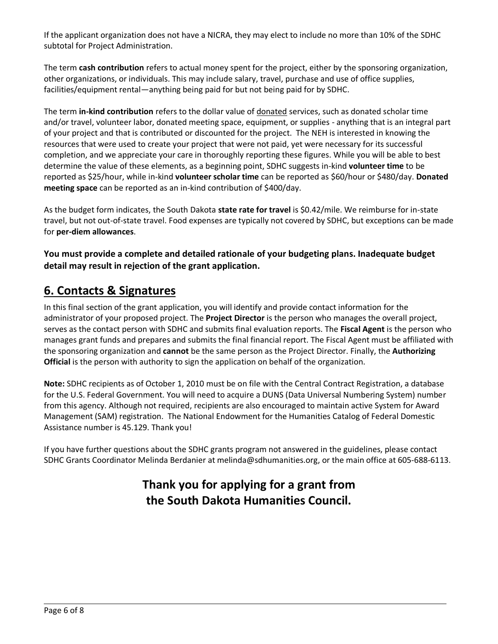If the applicant organization does not have a NICRA, they may elect to include no more than 10% of the SDHC subtotal for Project Administration.

The term **cash contribution** refers to actual money spent for the project, either by the sponsoring organization, other organizations, or individuals. This may include salary, travel, purchase and use of office supplies, facilities/equipment rental—anything being paid for but not being paid for by SDHC.

The term **in-kind contribution** refers to the dollar value of donated services, such as donated scholar time and/or travel, volunteer labor, donated meeting space, equipment, or supplies - anything that is an integral part of your project and that is contributed or discounted for the project. The NEH is interested in knowing the resources that were used to create your project that were not paid, yet were necessary for its successful completion, and we appreciate your care in thoroughly reporting these figures. While you will be able to best determine the value of these elements, as a beginning point, SDHC suggests in-kind **volunteer time** to be reported as \$25/hour, while in-kind **volunteer scholar time** can be reported as \$60/hour or \$480/day. **Donated meeting space** can be reported as an in-kind contribution of \$400/day.

As the budget form indicates, the South Dakota **state rate for travel** is \$0.42/mile. We reimburse for in-state travel, but not out-of-state travel. Food expenses are typically not covered by SDHC, but exceptions can be made for **per-diem allowances**.

**You must provide a complete and detailed rationale of your budgeting plans. Inadequate budget detail may result in rejection of the grant application.**

### **6. Contacts & Signatures**

In this final section of the grant application, you will identify and provide contact information for the administrator of your proposed project. The **Project Director** is the person who manages the overall project, serves as the contact person with SDHC and submits final evaluation reports. The **Fiscal Agent** is the person who manages grant funds and prepares and submits the final financial report. The Fiscal Agent must be affiliated with the sponsoring organization and **cannot** be the same person as the Project Director. Finally, the **Authorizing Official** is the person with authority to sign the application on behalf of the organization.

**Note:** SDHC recipients as of October 1, 2010 must be on file with the Central Contract Registration, a database for the U.S. Federal Government. You will need to acquire a DUNS (Data Universal Numbering System) number from this agency. Although not required, recipients are also encouraged to maintain active System for Award Management (SAM) registration. The National Endowment for the Humanities Catalog of Federal Domestic Assistance number is 45.129. Thank you!

If you have further questions about the SDHC grants program not answered in the guidelines, please contact SDHC Grants Coordinator Melinda Berdanier at melinda@sdhumanities.org, or the main office at 605-688-6113.

### **Thank you for applying for a grant from the South Dakota Humanities Council.**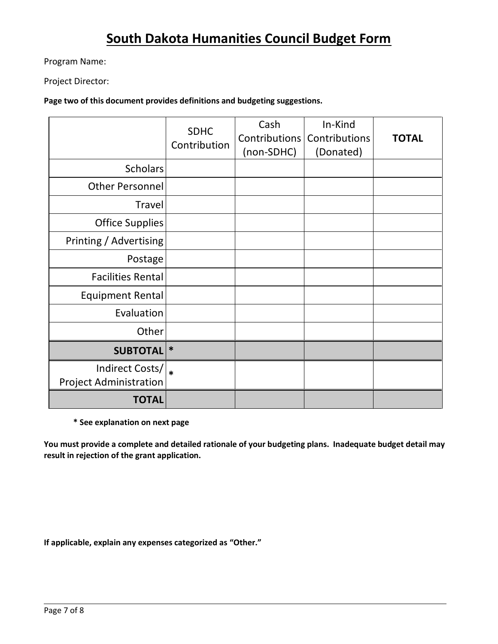### **South Dakota Humanities Council Budget Form**

Program Name:

Project Director:

**Page two of this document provides definitions and budgeting suggestions.**

|                                                  | <b>SDHC</b><br>Contribution | Cash<br>Contributions<br>(non-SDHC) | In-Kind<br>Contributions<br>(Donated) | <b>TOTAL</b> |
|--------------------------------------------------|-----------------------------|-------------------------------------|---------------------------------------|--------------|
| <b>Scholars</b>                                  |                             |                                     |                                       |              |
| <b>Other Personnel</b>                           |                             |                                     |                                       |              |
| Travel                                           |                             |                                     |                                       |              |
| <b>Office Supplies</b>                           |                             |                                     |                                       |              |
| Printing / Advertising                           |                             |                                     |                                       |              |
| Postage                                          |                             |                                     |                                       |              |
| <b>Facilities Rental</b>                         |                             |                                     |                                       |              |
| <b>Equipment Rental</b>                          |                             |                                     |                                       |              |
| Evaluation                                       |                             |                                     |                                       |              |
| Other                                            |                             |                                     |                                       |              |
| <b>SUBTOTAL</b>                                  | $\ast$                      |                                     |                                       |              |
| Indirect Costs/<br><b>Project Administration</b> |                             |                                     |                                       |              |
| <b>TOTAL</b>                                     |                             |                                     |                                       |              |

**\* See explanation on next page** 

**You must provide a complete and detailed rationale of your budgeting plans. Inadequate budget detail may result in rejection of the grant application.**

**If applicable, explain any expenses categorized as "Other."**